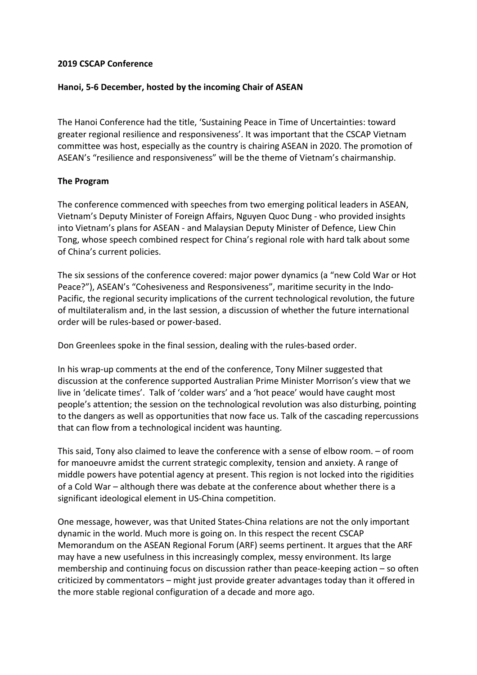## **2019 CSCAP Conference**

## **Hanoi, 5-6 December, hosted by the incoming Chair of ASEAN**

The Hanoi Conference had the title, 'Sustaining Peace in Time of Uncertainties: toward greater regional resilience and responsiveness'. It was important that the CSCAP Vietnam committee was host, especially as the country is chairing ASEAN in 2020. The promotion of ASEAN's "resilience and responsiveness" will be the theme of Vietnam's chairmanship.

## **The Program**

The conference commenced with speeches from two emerging political leaders in ASEAN, Vietnam's Deputy Minister of Foreign Affairs, Nguyen Quoc Dung - who provided insights into Vietnam's plans for ASEAN - and Malaysian Deputy Minister of Defence, Liew Chin Tong, whose speech combined respect for China's regional role with hard talk about some of China's current policies.

The six sessions of the conference covered: major power dynamics (a "new Cold War or Hot Peace?"), ASEAN's "Cohesiveness and Responsiveness", maritime security in the Indo-Pacific, the regional security implications of the current technological revolution, the future of multilateralism and, in the last session, a discussion of whether the future international order will be rules-based or power-based.

Don Greenlees spoke in the final session, dealing with the rules-based order.

In his wrap-up comments at the end of the conference, Tony Milner suggested that discussion at the conference supported Australian Prime Minister Morrison's view that we live in 'delicate times'. Talk of 'colder wars' and a 'hot peace' would have caught most people's attention; the session on the technological revolution was also disturbing, pointing to the dangers as well as opportunities that now face us. Talk of the cascading repercussions that can flow from a technological incident was haunting.

This said, Tony also claimed to leave the conference with a sense of elbow room. – of room for manoeuvre amidst the current strategic complexity, tension and anxiety. A range of middle powers have potential agency at present. This region is not locked into the rigidities of a Cold War – although there was debate at the conference about whether there is a significant ideological element in US-China competition.

One message, however, was that United States-China relations are not the only important dynamic in the world. Much more is going on. In this respect the recent CSCAP Memorandum on the ASEAN Regional Forum (ARF) seems pertinent. It argues that the ARF may have a new usefulness in this increasingly complex, messy environment. Its large membership and continuing focus on discussion rather than peace-keeping action – so often criticized by commentators – might just provide greater advantages today than it offered in the more stable regional configuration of a decade and more ago.